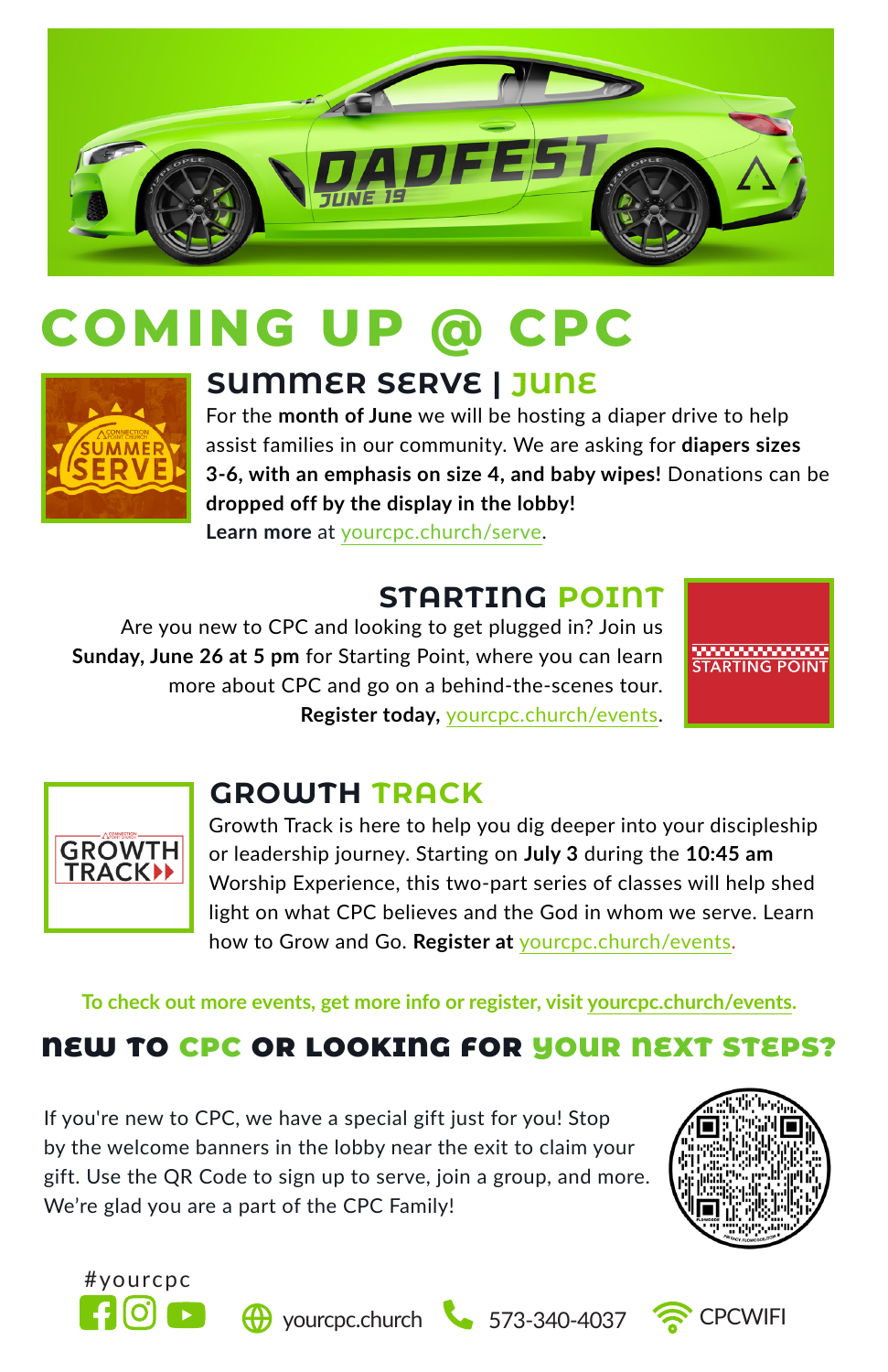

# **COMING UP @ CPC**



## **SUMMER SERVE | JUNE**

For the **month of June** we will be hosting a diaper drive to help assist families in our community. We are asking for **diapers sizes 3-6, with an emphasis on size 4, and baby wipes!** Donations can be **dropped off by the display in the lobby! Learn more** at yourcpc.church/serve.

## **STARTING POINT**

Are you new to CPC and looking to get plugged in? Join us **Sunday, June 26 at 5 pm** for Starting Point, where you can learn more about CPC and go on a behind-the-scenes tour. **Register today,** yourcpc.church/events.





## **GROWTH TRACK**

Growth Track is here to help you dig deeper into your discipleship or leadership journey. Starting on **July 3** during the **10:45 am**  Worship Experience, this two-part series of classes will help shed light on what CPC believes and the God in whom we serve. Learn how to Grow and Go. **Register at** yourcpc.church/events.

**To check out more events, get more info or register, visit yourcpc.church/events.**

## **NEW TO CPC OR LOOKING FOR YOUR NEXT STEPS?**

If you're new to CPC, we have a special gift just for you! Stop by the welcome banners in the lobby near the exit to claim your gift. Use the QR Code to sign up to serve, join a group, and more. We're glad you are a part of the CPC Family!